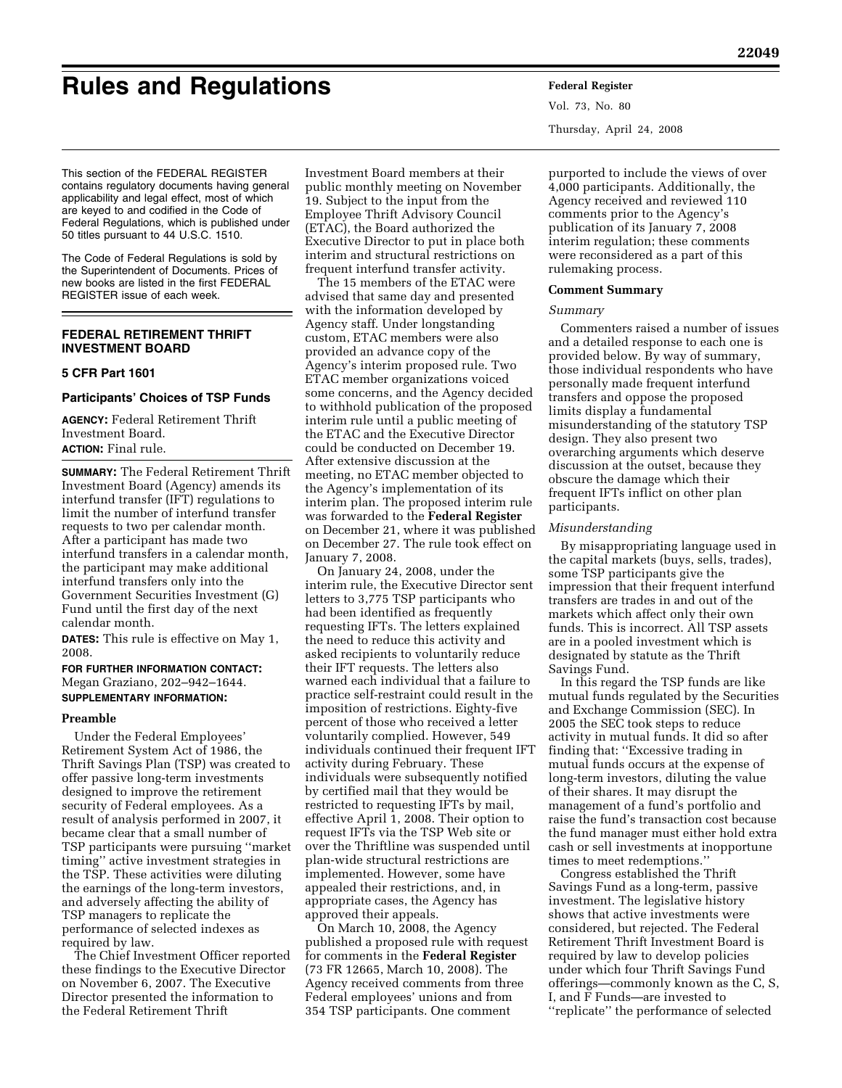# **Rules and Regulations Federal Register**

This section of the FEDERAL REGISTER contains regulatory documents having general applicability and legal effect, most of which are keyed to and codified in the Code of Federal Regulations, which is published under 50 titles pursuant to 44 U.S.C. 1510.

The Code of Federal Regulations is sold by the Superintendent of Documents. Prices of new books are listed in the first FEDERAL REGISTER issue of each week.

# **FEDERAL RETIREMENT THRIFT INVESTMENT BOARD**

## **5 CFR Part 1601**

## **Participants' Choices of TSP Funds**

**AGENCY:** Federal Retirement Thrift Investment Board. **ACTION:** Final rule.

**SUMMARY:** The Federal Retirement Thrift Investment Board (Agency) amends its interfund transfer (IFT) regulations to limit the number of interfund transfer requests to two per calendar month. After a participant has made two interfund transfers in a calendar month, the participant may make additional interfund transfers only into the Government Securities Investment (G) Fund until the first day of the next calendar month.

**DATES:** This rule is effective on May 1, 2008.

**FOR FURTHER INFORMATION CONTACT:**  Megan Graziano, 202–942–1644. **SUPPLEMENTARY INFORMATION:** 

## **Preamble**

Under the Federal Employees' Retirement System Act of 1986, the Thrift Savings Plan (TSP) was created to offer passive long-term investments designed to improve the retirement security of Federal employees. As a result of analysis performed in 2007, it became clear that a small number of TSP participants were pursuing ''market timing'' active investment strategies in the TSP. These activities were diluting the earnings of the long-term investors, and adversely affecting the ability of TSP managers to replicate the performance of selected indexes as required by law.

The Chief Investment Officer reported these findings to the Executive Director on November 6, 2007. The Executive Director presented the information to the Federal Retirement Thrift

Investment Board members at their public monthly meeting on November 19. Subject to the input from the Employee Thrift Advisory Council (ETAC), the Board authorized the Executive Director to put in place both interim and structural restrictions on frequent interfund transfer activity.

The 15 members of the ETAC were advised that same day and presented with the information developed by Agency staff. Under longstanding custom, ETAC members were also provided an advance copy of the Agency's interim proposed rule. Two ETAC member organizations voiced some concerns, and the Agency decided to withhold publication of the proposed interim rule until a public meeting of the ETAC and the Executive Director could be conducted on December 19. After extensive discussion at the meeting, no ETAC member objected to the Agency's implementation of its interim plan. The proposed interim rule was forwarded to the **Federal Register**  on December 21, where it was published on December 27. The rule took effect on January 7, 2008.

On January 24, 2008, under the interim rule, the Executive Director sent letters to 3,775 TSP participants who had been identified as frequently requesting IFTs. The letters explained the need to reduce this activity and asked recipients to voluntarily reduce their IFT requests. The letters also warned each individual that a failure to practice self-restraint could result in the imposition of restrictions. Eighty-five percent of those who received a letter voluntarily complied. However, 549 individuals continued their frequent IFT activity during February. These individuals were subsequently notified by certified mail that they would be restricted to requesting IFTs by mail, effective April 1, 2008. Their option to request IFTs via the TSP Web site or over the Thriftline was suspended until plan-wide structural restrictions are implemented. However, some have appealed their restrictions, and, in appropriate cases, the Agency has approved their appeals.

On March 10, 2008, the Agency published a proposed rule with request for comments in the **Federal Register**  (73 FR 12665, March 10, 2008). The Agency received comments from three Federal employees' unions and from 354 TSP participants. One comment

Vol. 73, No. 80 Thursday, April 24, 2008

purported to include the views of over 4,000 participants. Additionally, the Agency received and reviewed 110 comments prior to the Agency's publication of its January 7, 2008 interim regulation; these comments were reconsidered as a part of this rulemaking process.

# **Comment Summary**

#### *Summary*

Commenters raised a number of issues and a detailed response to each one is provided below. By way of summary, those individual respondents who have personally made frequent interfund transfers and oppose the proposed limits display a fundamental misunderstanding of the statutory TSP design. They also present two overarching arguments which deserve discussion at the outset, because they obscure the damage which their frequent IFTs inflict on other plan participants.

#### *Misunderstanding*

By misappropriating language used in the capital markets (buys, sells, trades), some TSP participants give the impression that their frequent interfund transfers are trades in and out of the markets which affect only their own funds. This is incorrect. All TSP assets are in a pooled investment which is designated by statute as the Thrift Savings Fund.

In this regard the TSP funds are like mutual funds regulated by the Securities and Exchange Commission (SEC). In 2005 the SEC took steps to reduce activity in mutual funds. It did so after finding that: ''Excessive trading in mutual funds occurs at the expense of long-term investors, diluting the value of their shares. It may disrupt the management of a fund's portfolio and raise the fund's transaction cost because the fund manager must either hold extra cash or sell investments at inopportune times to meet redemptions.''

Congress established the Thrift Savings Fund as a long-term, passive investment. The legislative history shows that active investments were considered, but rejected. The Federal Retirement Thrift Investment Board is required by law to develop policies under which four Thrift Savings Fund offerings—commonly known as the C, S, I, and F Funds—are invested to ''replicate'' the performance of selected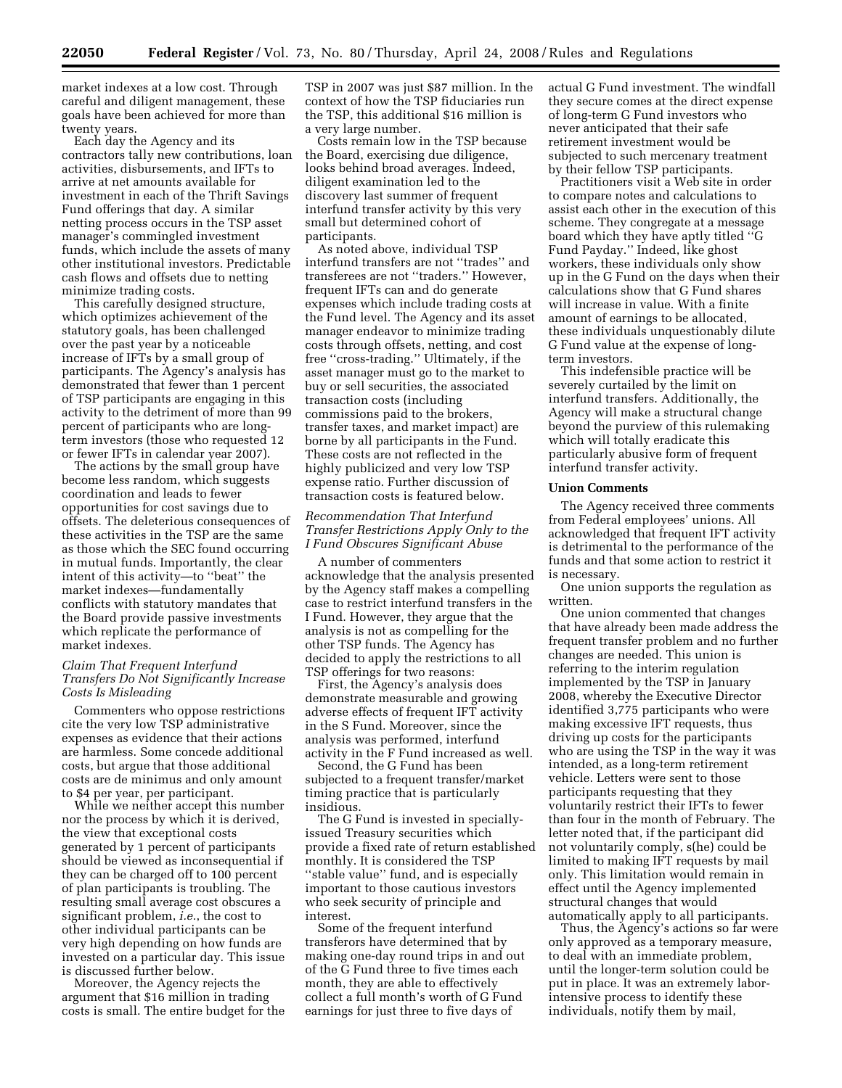market indexes at a low cost. Through careful and diligent management, these goals have been achieved for more than twenty years.

Each day the Agency and its contractors tally new contributions, loan activities, disbursements, and IFTs to arrive at net amounts available for investment in each of the Thrift Savings Fund offerings that day. A similar netting process occurs in the TSP asset manager's commingled investment funds, which include the assets of many other institutional investors. Predictable cash flows and offsets due to netting minimize trading costs.

This carefully designed structure, which optimizes achievement of the statutory goals, has been challenged over the past year by a noticeable increase of IFTs by a small group of participants. The Agency's analysis has demonstrated that fewer than 1 percent of TSP participants are engaging in this activity to the detriment of more than 99 percent of participants who are longterm investors (those who requested 12 or fewer IFTs in calendar year 2007).

The actions by the small group have become less random, which suggests coordination and leads to fewer opportunities for cost savings due to offsets. The deleterious consequences of these activities in the TSP are the same as those which the SEC found occurring in mutual funds. Importantly, the clear intent of this activity—to ''beat'' the market indexes—fundamentally conflicts with statutory mandates that the Board provide passive investments which replicate the performance of market indexes.

## *Claim That Frequent Interfund Transfers Do Not Significantly Increase Costs Is Misleading*

Commenters who oppose restrictions cite the very low TSP administrative expenses as evidence that their actions are harmless. Some concede additional costs, but argue that those additional costs are de minimus and only amount to \$4 per year, per participant.

While we neither accept this number nor the process by which it is derived, the view that exceptional costs generated by 1 percent of participants should be viewed as inconsequential if they can be charged off to 100 percent of plan participants is troubling. The resulting small average cost obscures a significant problem, *i.e.*, the cost to other individual participants can be very high depending on how funds are invested on a particular day. This issue is discussed further below.

Moreover, the Agency rejects the argument that \$16 million in trading costs is small. The entire budget for the

TSP in 2007 was just \$87 million. In the context of how the TSP fiduciaries run the TSP, this additional \$16 million is a very large number.

Costs remain low in the TSP because the Board, exercising due diligence, looks behind broad averages. Indeed, diligent examination led to the discovery last summer of frequent interfund transfer activity by this very small but determined cohort of participants.

As noted above, individual TSP interfund transfers are not ''trades'' and transferees are not ''traders.'' However, frequent IFTs can and do generate expenses which include trading costs at the Fund level. The Agency and its asset manager endeavor to minimize trading costs through offsets, netting, and cost free ''cross-trading.'' Ultimately, if the asset manager must go to the market to buy or sell securities, the associated transaction costs (including commissions paid to the brokers, transfer taxes, and market impact) are borne by all participants in the Fund. These costs are not reflected in the highly publicized and very low TSP expense ratio. Further discussion of transaction costs is featured below.

# *Recommendation That Interfund Transfer Restrictions Apply Only to the I Fund Obscures Significant Abuse*

A number of commenters acknowledge that the analysis presented by the Agency staff makes a compelling case to restrict interfund transfers in the I Fund. However, they argue that the analysis is not as compelling for the other TSP funds. The Agency has decided to apply the restrictions to all TSP offerings for two reasons:

First, the Agency's analysis does demonstrate measurable and growing adverse effects of frequent IFT activity in the S Fund. Moreover, since the analysis was performed, interfund activity in the F Fund increased as well.

Second, the G Fund has been subjected to a frequent transfer/market timing practice that is particularly insidious.

The G Fund is invested in speciallyissued Treasury securities which provide a fixed rate of return established monthly. It is considered the TSP ''stable value'' fund, and is especially important to those cautious investors who seek security of principle and interest.

Some of the frequent interfund transferors have determined that by making one-day round trips in and out of the G Fund three to five times each month, they are able to effectively collect a full month's worth of G Fund earnings for just three to five days of

actual G Fund investment. The windfall they secure comes at the direct expense of long-term G Fund investors who never anticipated that their safe retirement investment would be subjected to such mercenary treatment by their fellow TSP participants.

Practitioners visit a Web site in order to compare notes and calculations to assist each other in the execution of this scheme. They congregate at a message board which they have aptly titled ''G Fund Payday.'' Indeed, like ghost workers, these individuals only show up in the G Fund on the days when their calculations show that G Fund shares will increase in value. With a finite amount of earnings to be allocated, these individuals unquestionably dilute G Fund value at the expense of longterm investors.

This indefensible practice will be severely curtailed by the limit on interfund transfers. Additionally, the Agency will make a structural change beyond the purview of this rulemaking which will totally eradicate this particularly abusive form of frequent interfund transfer activity.

#### **Union Comments**

The Agency received three comments from Federal employees' unions. All acknowledged that frequent IFT activity is detrimental to the performance of the funds and that some action to restrict it is necessary.

One union supports the regulation as written.

One union commented that changes that have already been made address the frequent transfer problem and no further changes are needed. This union is referring to the interim regulation implemented by the TSP in January 2008, whereby the Executive Director identified 3,775 participants who were making excessive IFT requests, thus driving up costs for the participants who are using the TSP in the way it was intended, as a long-term retirement vehicle. Letters were sent to those participants requesting that they voluntarily restrict their IFTs to fewer than four in the month of February. The letter noted that, if the participant did not voluntarily comply, s(he) could be limited to making IFT requests by mail only. This limitation would remain in effect until the Agency implemented structural changes that would automatically apply to all participants.

Thus, the Agency's actions so far were only approved as a temporary measure, to deal with an immediate problem, until the longer-term solution could be put in place. It was an extremely laborintensive process to identify these individuals, notify them by mail,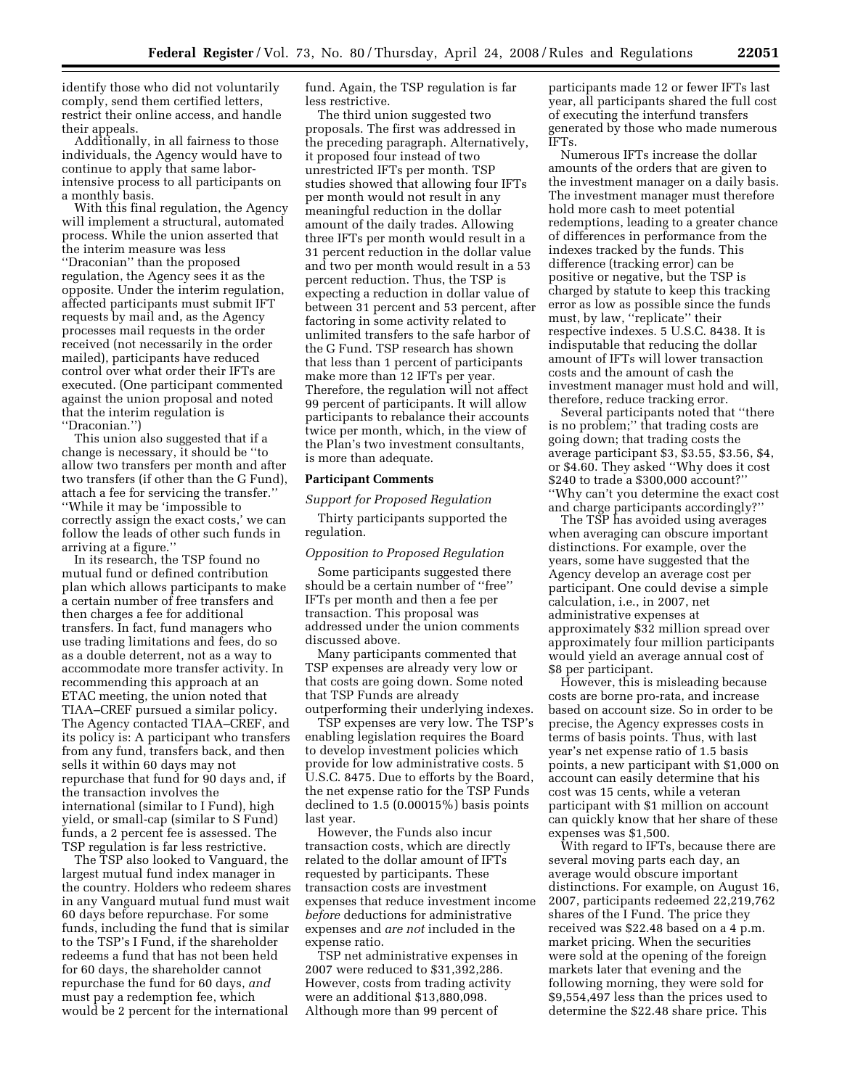identify those who did not voluntarily comply, send them certified letters, restrict their online access, and handle their appeals.

Additionally, in all fairness to those individuals, the Agency would have to continue to apply that same laborintensive process to all participants on a monthly basis.

With this final regulation, the Agency will implement a structural, automated process. While the union asserted that the interim measure was less ''Draconian'' than the proposed regulation, the Agency sees it as the opposite. Under the interim regulation, affected participants must submit IFT requests by mail and, as the Agency processes mail requests in the order received (not necessarily in the order mailed), participants have reduced control over what order their IFTs are executed. (One participant commented against the union proposal and noted that the interim regulation is ''Draconian.'')

This union also suggested that if a change is necessary, it should be ''to allow two transfers per month and after two transfers (if other than the G Fund), attach a fee for servicing the transfer.'' ''While it may be 'impossible to correctly assign the exact costs,' we can follow the leads of other such funds in arriving at a figure.''

In its research, the TSP found no mutual fund or defined contribution plan which allows participants to make a certain number of free transfers and then charges a fee for additional transfers. In fact, fund managers who use trading limitations and fees, do so as a double deterrent, not as a way to accommodate more transfer activity. In recommending this approach at an ETAC meeting, the union noted that TIAA–CREF pursued a similar policy. The Agency contacted TIAA–CREF, and its policy is: A participant who transfers from any fund, transfers back, and then sells it within 60 days may not repurchase that fund for 90 days and, if the transaction involves the international (similar to I Fund), high yield, or small-cap (similar to S Fund) funds, a 2 percent fee is assessed. The TSP regulation is far less restrictive.

The TSP also looked to Vanguard, the largest mutual fund index manager in the country. Holders who redeem shares in any Vanguard mutual fund must wait 60 days before repurchase. For some funds, including the fund that is similar to the TSP's I Fund, if the shareholder redeems a fund that has not been held for 60 days, the shareholder cannot repurchase the fund for 60 days, *and*  must pay a redemption fee, which would be 2 percent for the international

fund. Again, the TSP regulation is far less restrictive.

The third union suggested two proposals. The first was addressed in the preceding paragraph. Alternatively, it proposed four instead of two unrestricted IFTs per month. TSP studies showed that allowing four IFTs per month would not result in any meaningful reduction in the dollar amount of the daily trades. Allowing three IFTs per month would result in a 31 percent reduction in the dollar value and two per month would result in a 53 percent reduction. Thus, the TSP is expecting a reduction in dollar value of between 31 percent and 53 percent, after factoring in some activity related to unlimited transfers to the safe harbor of the G Fund. TSP research has shown that less than 1 percent of participants make more than 12 IFTs per year. Therefore, the regulation will not affect 99 percent of participants. It will allow participants to rebalance their accounts twice per month, which, in the view of the Plan's two investment consultants, is more than adequate.

## **Participant Comments**

## *Support for Proposed Regulation*

Thirty participants supported the regulation.

#### *Opposition to Proposed Regulation*

Some participants suggested there should be a certain number of ''free'' IFTs per month and then a fee per transaction. This proposal was addressed under the union comments discussed above.

Many participants commented that TSP expenses are already very low or that costs are going down. Some noted that TSP Funds are already outperforming their underlying indexes.

TSP expenses are very low. The TSP's enabling legislation requires the Board to develop investment policies which provide for low administrative costs. 5 U.S.C. 8475. Due to efforts by the Board, the net expense ratio for the TSP Funds declined to 1.5 (0.00015%) basis points last year.

However, the Funds also incur transaction costs, which are directly related to the dollar amount of IFTs requested by participants. These transaction costs are investment expenses that reduce investment income *before* deductions for administrative expenses and *are not* included in the expense ratio.

TSP net administrative expenses in 2007 were reduced to \$31,392,286. However, costs from trading activity were an additional \$13,880,098. Although more than 99 percent of

participants made 12 or fewer IFTs last year, all participants shared the full cost of executing the interfund transfers generated by those who made numerous IFTs.

Numerous IFTs increase the dollar amounts of the orders that are given to the investment manager on a daily basis. The investment manager must therefore hold more cash to meet potential redemptions, leading to a greater chance of differences in performance from the indexes tracked by the funds. This difference (tracking error) can be positive or negative, but the TSP is charged by statute to keep this tracking error as low as possible since the funds must, by law, ''replicate'' their respective indexes. 5 U.S.C. 8438. It is indisputable that reducing the dollar amount of IFTs will lower transaction costs and the amount of cash the investment manager must hold and will, therefore, reduce tracking error.

Several participants noted that ''there is no problem;'' that trading costs are going down; that trading costs the average participant \$3, \$3.55, \$3.56, \$4, or \$4.60. They asked ''Why does it cost \$240 to trade a \$300,000 account?'' ''Why can't you determine the exact cost and charge participants accordingly?''

The TSP has avoided using averages when averaging can obscure important distinctions. For example, over the years, some have suggested that the Agency develop an average cost per participant. One could devise a simple calculation, i.e., in 2007, net administrative expenses at approximately \$32 million spread over approximately four million participants would yield an average annual cost of \$8 per participant.

However, this is misleading because costs are borne pro-rata, and increase based on account size. So in order to be precise, the Agency expresses costs in terms of basis points. Thus, with last year's net expense ratio of 1.5 basis points, a new participant with \$1,000 on account can easily determine that his cost was 15 cents, while a veteran participant with \$1 million on account can quickly know that her share of these expenses was \$1,500.

With regard to IFTs, because there are several moving parts each day, an average would obscure important distinctions. For example, on August 16, 2007, participants redeemed 22,219,762 shares of the I Fund. The price they received was \$22.48 based on a 4 p.m. market pricing. When the securities were sold at the opening of the foreign markets later that evening and the following morning, they were sold for \$9,554,497 less than the prices used to determine the \$22.48 share price. This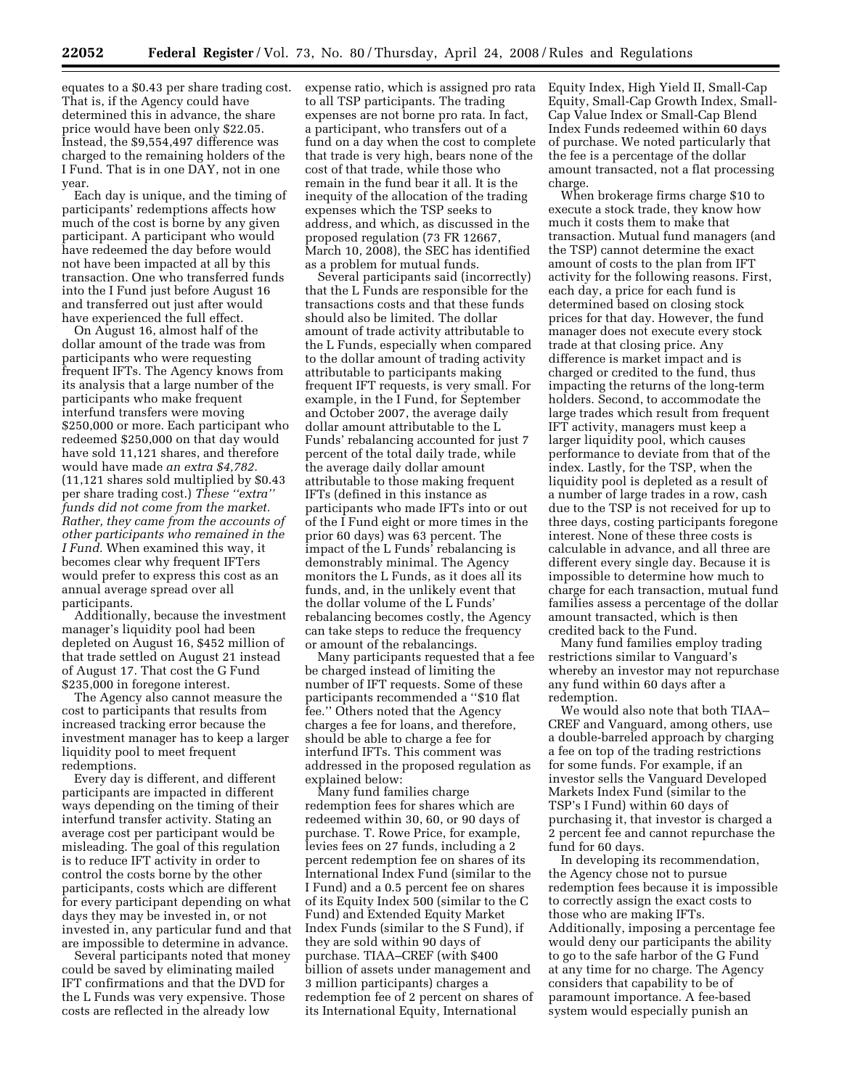equates to a \$0.43 per share trading cost. That is, if the Agency could have determined this in advance, the share price would have been only \$22.05. Instead, the \$9,554,497 difference was charged to the remaining holders of the I Fund. That is in one DAY, not in one year.

Each day is unique, and the timing of participants' redemptions affects how much of the cost is borne by any given participant. A participant who would have redeemed the day before would not have been impacted at all by this transaction. One who transferred funds into the I Fund just before August 16 and transferred out just after would have experienced the full effect.

On August 16, almost half of the dollar amount of the trade was from participants who were requesting frequent IFTs. The Agency knows from its analysis that a large number of the participants who make frequent interfund transfers were moving \$250,000 or more. Each participant who redeemed \$250,000 on that day would have sold 11,121 shares, and therefore would have made *an extra \$4,782.*  (11,121 shares sold multiplied by \$0.43 per share trading cost.) *These ''extra'' funds did not come from the market. Rather, they came from the accounts of other participants who remained in the I Fund.* When examined this way, it becomes clear why frequent IFTers would prefer to express this cost as an annual average spread over all participants.

Additionally, because the investment manager's liquidity pool had been depleted on August 16, \$452 million of that trade settled on August 21 instead of August 17. That cost the G Fund \$235,000 in foregone interest.

The Agency also cannot measure the cost to participants that results from increased tracking error because the investment manager has to keep a larger liquidity pool to meet frequent redemptions.

Every day is different, and different participants are impacted in different ways depending on the timing of their interfund transfer activity. Stating an average cost per participant would be misleading. The goal of this regulation is to reduce IFT activity in order to control the costs borne by the other participants, costs which are different for every participant depending on what days they may be invested in, or not invested in, any particular fund and that are impossible to determine in advance.

Several participants noted that money could be saved by eliminating mailed IFT confirmations and that the DVD for the L Funds was very expensive. Those costs are reflected in the already low

expense ratio, which is assigned pro rata to all TSP participants. The trading expenses are not borne pro rata. In fact, a participant, who transfers out of a fund on a day when the cost to complete that trade is very high, bears none of the cost of that trade, while those who remain in the fund bear it all. It is the inequity of the allocation of the trading expenses which the TSP seeks to address, and which, as discussed in the proposed regulation (73 FR 12667, March 10, 2008), the SEC has identified as a problem for mutual funds.

Several participants said (incorrectly) that the L Funds are responsible for the transactions costs and that these funds should also be limited. The dollar amount of trade activity attributable to the L Funds, especially when compared to the dollar amount of trading activity attributable to participants making frequent IFT requests, is very small. For example, in the I Fund, for September and October 2007, the average daily dollar amount attributable to the L Funds' rebalancing accounted for just 7 percent of the total daily trade, while the average daily dollar amount attributable to those making frequent IFTs (defined in this instance as participants who made IFTs into or out of the I Fund eight or more times in the prior 60 days) was 63 percent. The impact of the L Funds' rebalancing is demonstrably minimal. The Agency monitors the L Funds, as it does all its funds, and, in the unlikely event that the dollar volume of the L Funds' rebalancing becomes costly, the Agency can take steps to reduce the frequency or amount of the rebalancings.

Many participants requested that a fee be charged instead of limiting the number of IFT requests. Some of these participants recommended a ''\$10 flat fee.'' Others noted that the Agency charges a fee for loans, and therefore, should be able to charge a fee for interfund IFTs. This comment was addressed in the proposed regulation as explained below:

Many fund families charge redemption fees for shares which are redeemed within 30, 60, or 90 days of purchase. T. Rowe Price, for example, levies fees on 27 funds, including a 2 percent redemption fee on shares of its International Index Fund (similar to the I Fund) and a 0.5 percent fee on shares of its Equity Index 500 (similar to the C Fund) and Extended Equity Market Index Funds (similar to the S Fund), if they are sold within 90 days of purchase. TIAA–CREF (with \$400 billion of assets under management and 3 million participants) charges a redemption fee of 2 percent on shares of its International Equity, International

Equity Index, High Yield II, Small-Cap Equity, Small-Cap Growth Index, Small-Cap Value Index or Small-Cap Blend Index Funds redeemed within 60 days of purchase. We noted particularly that the fee is a percentage of the dollar amount transacted, not a flat processing charge.

When brokerage firms charge \$10 to execute a stock trade, they know how much it costs them to make that transaction. Mutual fund managers (and the TSP) cannot determine the exact amount of costs to the plan from IFT activity for the following reasons. First, each day, a price for each fund is determined based on closing stock prices for that day. However, the fund manager does not execute every stock trade at that closing price. Any difference is market impact and is charged or credited to the fund, thus impacting the returns of the long-term holders. Second, to accommodate the large trades which result from frequent IFT activity, managers must keep a larger liquidity pool, which causes performance to deviate from that of the index. Lastly, for the TSP, when the liquidity pool is depleted as a result of a number of large trades in a row, cash due to the TSP is not received for up to three days, costing participants foregone interest. None of these three costs is calculable in advance, and all three are different every single day. Because it is impossible to determine how much to charge for each transaction, mutual fund families assess a percentage of the dollar amount transacted, which is then credited back to the Fund.

Many fund families employ trading restrictions similar to Vanguard's whereby an investor may not repurchase any fund within 60 days after a redemption.

We would also note that both TIAA– CREF and Vanguard, among others, use a double-barreled approach by charging a fee on top of the trading restrictions for some funds. For example, if an investor sells the Vanguard Developed Markets Index Fund (similar to the TSP's I Fund) within 60 days of purchasing it, that investor is charged a 2 percent fee and cannot repurchase the fund for 60 days.

In developing its recommendation, the Agency chose not to pursue redemption fees because it is impossible to correctly assign the exact costs to those who are making IFTs. Additionally, imposing a percentage fee would deny our participants the ability to go to the safe harbor of the G Fund at any time for no charge. The Agency considers that capability to be of paramount importance. A fee-based system would especially punish an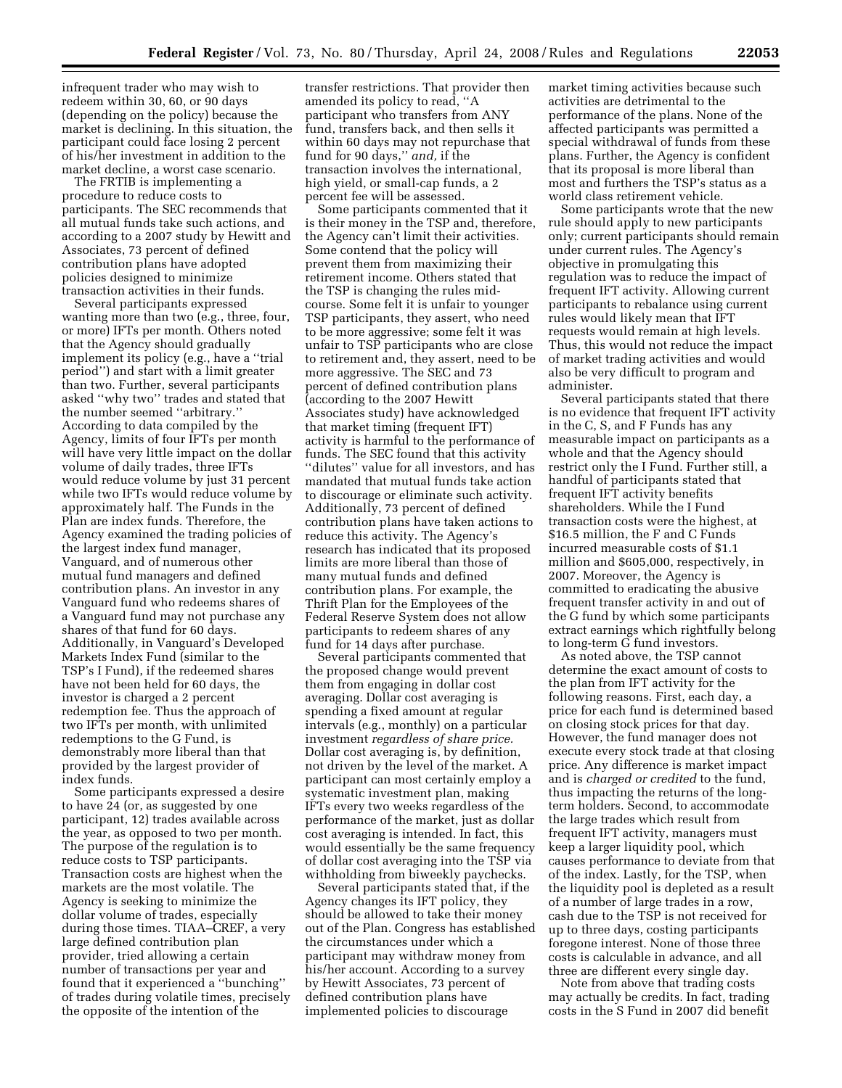infrequent trader who may wish to redeem within 30, 60, or 90 days (depending on the policy) because the market is declining. In this situation, the participant could face losing 2 percent of his/her investment in addition to the market decline, a worst case scenario.

The FRTIB is implementing a procedure to reduce costs to participants. The SEC recommends that all mutual funds take such actions, and according to a 2007 study by Hewitt and Associates, 73 percent of defined contribution plans have adopted policies designed to minimize transaction activities in their funds.

Several participants expressed wanting more than two (e.g., three, four, or more) IFTs per month. Others noted that the Agency should gradually implement its policy (e.g., have a ''trial period'') and start with a limit greater than two. Further, several participants asked ''why two'' trades and stated that the number seemed ''arbitrary.'' According to data compiled by the Agency, limits of four IFTs per month will have very little impact on the dollar volume of daily trades, three IFTs would reduce volume by just 31 percent while two IFTs would reduce volume by approximately half. The Funds in the Plan are index funds. Therefore, the Agency examined the trading policies of the largest index fund manager, Vanguard, and of numerous other mutual fund managers and defined contribution plans. An investor in any Vanguard fund who redeems shares of a Vanguard fund may not purchase any shares of that fund for 60 days. Additionally, in Vanguard's Developed Markets Index Fund (similar to the TSP's I Fund), if the redeemed shares have not been held for 60 days, the investor is charged a 2 percent redemption fee. Thus the approach of two IFTs per month, with unlimited redemptions to the G Fund, is demonstrably more liberal than that provided by the largest provider of index funds.

Some participants expressed a desire to have 24 (or, as suggested by one participant, 12) trades available across the year, as opposed to two per month. The purpose of the regulation is to reduce costs to TSP participants. Transaction costs are highest when the markets are the most volatile. The Agency is seeking to minimize the dollar volume of trades, especially during those times. TIAA–CREF, a very large defined contribution plan provider, tried allowing a certain number of transactions per year and found that it experienced a ''bunching'' of trades during volatile times, precisely the opposite of the intention of the

transfer restrictions. That provider then amended its policy to read, ''A participant who transfers from ANY fund, transfers back, and then sells it within 60 days may not repurchase that fund for 90 days,'' *and,* if the transaction involves the international, high yield, or small-cap funds, a 2 percent fee will be assessed.

Some participants commented that it is their money in the TSP and, therefore, the Agency can't limit their activities. Some contend that the policy will prevent them from maximizing their retirement income. Others stated that the TSP is changing the rules midcourse. Some felt it is unfair to younger TSP participants, they assert, who need to be more aggressive; some felt it was unfair to TSP participants who are close to retirement and, they assert, need to be more aggressive. The SEC and 73 percent of defined contribution plans (according to the 2007 Hewitt Associates study) have acknowledged that market timing (frequent IFT) activity is harmful to the performance of funds. The SEC found that this activity ''dilutes'' value for all investors, and has mandated that mutual funds take action to discourage or eliminate such activity. Additionally, 73 percent of defined contribution plans have taken actions to reduce this activity. The Agency's research has indicated that its proposed limits are more liberal than those of many mutual funds and defined contribution plans. For example, the Thrift Plan for the Employees of the Federal Reserve System does not allow participants to redeem shares of any fund for 14 days after purchase.

Several participants commented that the proposed change would prevent them from engaging in dollar cost averaging. Dollar cost averaging is spending a fixed amount at regular intervals (e.g., monthly) on a particular investment *regardless of share price.*  Dollar cost averaging is, by definition, not driven by the level of the market. A participant can most certainly employ a systematic investment plan, making IFTs every two weeks regardless of the performance of the market, just as dollar cost averaging is intended. In fact, this would essentially be the same frequency of dollar cost averaging into the TSP via withholding from biweekly paychecks.

Several participants stated that, if the Agency changes its IFT policy, they should be allowed to take their money out of the Plan. Congress has established the circumstances under which a participant may withdraw money from his/her account. According to a survey by Hewitt Associates, 73 percent of defined contribution plans have implemented policies to discourage

market timing activities because such activities are detrimental to the performance of the plans. None of the affected participants was permitted a special withdrawal of funds from these plans. Further, the Agency is confident that its proposal is more liberal than most and furthers the TSP's status as a world class retirement vehicle.

Some participants wrote that the new rule should apply to new participants only; current participants should remain under current rules. The Agency's objective in promulgating this regulation was to reduce the impact of frequent IFT activity. Allowing current participants to rebalance using current rules would likely mean that IFT requests would remain at high levels. Thus, this would not reduce the impact of market trading activities and would also be very difficult to program and administer.

Several participants stated that there is no evidence that frequent IFT activity in the C, S, and F Funds has any measurable impact on participants as a whole and that the Agency should restrict only the I Fund. Further still, a handful of participants stated that frequent IFT activity benefits shareholders. While the I Fund transaction costs were the highest, at \$16.5 million, the F and C Funds incurred measurable costs of \$1.1 million and \$605,000, respectively, in 2007. Moreover, the Agency is committed to eradicating the abusive frequent transfer activity in and out of the G fund by which some participants extract earnings which rightfully belong to long-term G fund investors.

As noted above, the TSP cannot determine the exact amount of costs to the plan from IFT activity for the following reasons. First, each day, a price for each fund is determined based on closing stock prices for that day. However, the fund manager does not execute every stock trade at that closing price. Any difference is market impact and is *charged or credited* to the fund, thus impacting the returns of the longterm holders. Second, to accommodate the large trades which result from frequent IFT activity, managers must keep a larger liquidity pool, which causes performance to deviate from that of the index. Lastly, for the TSP, when the liquidity pool is depleted as a result of a number of large trades in a row, cash due to the TSP is not received for up to three days, costing participants foregone interest. None of those three costs is calculable in advance, and all three are different every single day.

Note from above that trading costs may actually be credits. In fact, trading costs in the S Fund in 2007 did benefit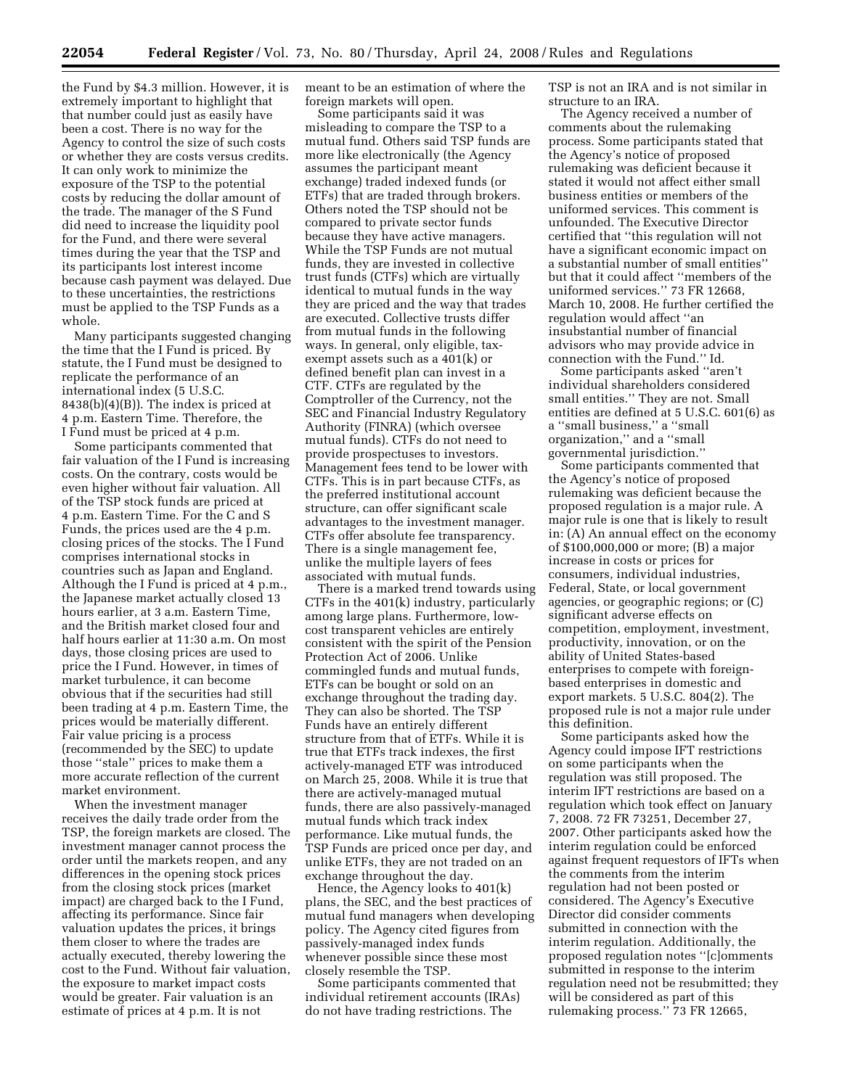the Fund by \$4.3 million. However, it is extremely important to highlight that that number could just as easily have been a cost. There is no way for the Agency to control the size of such costs or whether they are costs versus credits. It can only work to minimize the exposure of the TSP to the potential costs by reducing the dollar amount of the trade. The manager of the S Fund did need to increase the liquidity pool for the Fund, and there were several times during the year that the TSP and its participants lost interest income because cash payment was delayed. Due to these uncertainties, the restrictions must be applied to the TSP Funds as a whole.

Many participants suggested changing the time that the I Fund is priced. By statute, the I Fund must be designed to replicate the performance of an international index (5 U.S.C. 8438(b)(4)(B)). The index is priced at 4 p.m. Eastern Time. Therefore, the I Fund must be priced at 4 p.m.

Some participants commented that fair valuation of the I Fund is increasing costs. On the contrary, costs would be even higher without fair valuation. All of the TSP stock funds are priced at 4 p.m. Eastern Time. For the C and S Funds, the prices used are the 4 p.m. closing prices of the stocks. The I Fund comprises international stocks in countries such as Japan and England. Although the I Fund is priced at 4 p.m., the Japanese market actually closed 13 hours earlier, at 3 a.m. Eastern Time, and the British market closed four and half hours earlier at 11:30 a.m. On most days, those closing prices are used to price the I Fund. However, in times of market turbulence, it can become obvious that if the securities had still been trading at 4 p.m. Eastern Time, the prices would be materially different. Fair value pricing is a process (recommended by the SEC) to update those ''stale'' prices to make them a more accurate reflection of the current market environment.

When the investment manager receives the daily trade order from the TSP, the foreign markets are closed. The investment manager cannot process the order until the markets reopen, and any differences in the opening stock prices from the closing stock prices (market impact) are charged back to the I Fund, affecting its performance. Since fair valuation updates the prices, it brings them closer to where the trades are actually executed, thereby lowering the cost to the Fund. Without fair valuation, the exposure to market impact costs would be greater. Fair valuation is an estimate of prices at 4 p.m. It is not

meant to be an estimation of where the foreign markets will open.

Some participants said it was misleading to compare the TSP to a mutual fund. Others said TSP funds are more like electronically (the Agency assumes the participant meant exchange) traded indexed funds (or ETFs) that are traded through brokers. Others noted the TSP should not be compared to private sector funds because they have active managers. While the TSP Funds are not mutual funds, they are invested in collective trust funds (CTFs) which are virtually identical to mutual funds in the way they are priced and the way that trades are executed. Collective trusts differ from mutual funds in the following ways. In general, only eligible, taxexempt assets such as a 401(k) or defined benefit plan can invest in a CTF. CTFs are regulated by the Comptroller of the Currency, not the SEC and Financial Industry Regulatory Authority (FINRA) (which oversee mutual funds). CTFs do not need to provide prospectuses to investors. Management fees tend to be lower with CTFs. This is in part because CTFs, as the preferred institutional account structure, can offer significant scale advantages to the investment manager. CTFs offer absolute fee transparency. There is a single management fee, unlike the multiple layers of fees associated with mutual funds.

There is a marked trend towards using CTFs in the 401(k) industry, particularly among large plans. Furthermore, lowcost transparent vehicles are entirely consistent with the spirit of the Pension Protection Act of 2006. Unlike commingled funds and mutual funds, ETFs can be bought or sold on an exchange throughout the trading day. They can also be shorted. The TSP Funds have an entirely different structure from that of ETFs. While it is true that ETFs track indexes, the first actively-managed ETF was introduced on March 25, 2008. While it is true that there are actively-managed mutual funds, there are also passively-managed mutual funds which track index performance. Like mutual funds, the TSP Funds are priced once per day, and unlike ETFs, they are not traded on an exchange throughout the day.

Hence, the Agency looks to 401(k) plans, the SEC, and the best practices of mutual fund managers when developing policy. The Agency cited figures from passively-managed index funds whenever possible since these most closely resemble the TSP.

Some participants commented that individual retirement accounts (IRAs) do not have trading restrictions. The

TSP is not an IRA and is not similar in structure to an IRA.

The Agency received a number of comments about the rulemaking process. Some participants stated that the Agency's notice of proposed rulemaking was deficient because it stated it would not affect either small business entities or members of the uniformed services. This comment is unfounded. The Executive Director certified that ''this regulation will not have a significant economic impact on a substantial number of small entities'' but that it could affect ''members of the uniformed services.'' 73 FR 12668, March 10, 2008. He further certified the regulation would affect ''an insubstantial number of financial advisors who may provide advice in connection with the Fund.'' Id.

Some participants asked ''aren't individual shareholders considered small entities.'' They are not. Small entities are defined at 5 U.S.C. 601(6) as a ''small business,'' a ''small organization,'' and a ''small governmental jurisdiction.''

Some participants commented that the Agency's notice of proposed rulemaking was deficient because the proposed regulation is a major rule. A major rule is one that is likely to result in: (A) An annual effect on the economy of \$100,000,000 or more; (B) a major increase in costs or prices for consumers, individual industries, Federal, State, or local government agencies, or geographic regions; or (C) significant adverse effects on competition, employment, investment, productivity, innovation, or on the ability of United States-based enterprises to compete with foreignbased enterprises in domestic and export markets. 5 U.S.C. 804(2). The proposed rule is not a major rule under this definition.

Some participants asked how the Agency could impose IFT restrictions on some participants when the regulation was still proposed. The interim IFT restrictions are based on a regulation which took effect on January 7, 2008. 72 FR 73251, December 27, 2007. Other participants asked how the interim regulation could be enforced against frequent requestors of IFTs when the comments from the interim regulation had not been posted or considered. The Agency's Executive Director did consider comments submitted in connection with the interim regulation. Additionally, the proposed regulation notes ''[c]omments submitted in response to the interim regulation need not be resubmitted; they will be considered as part of this rulemaking process.'' 73 FR 12665,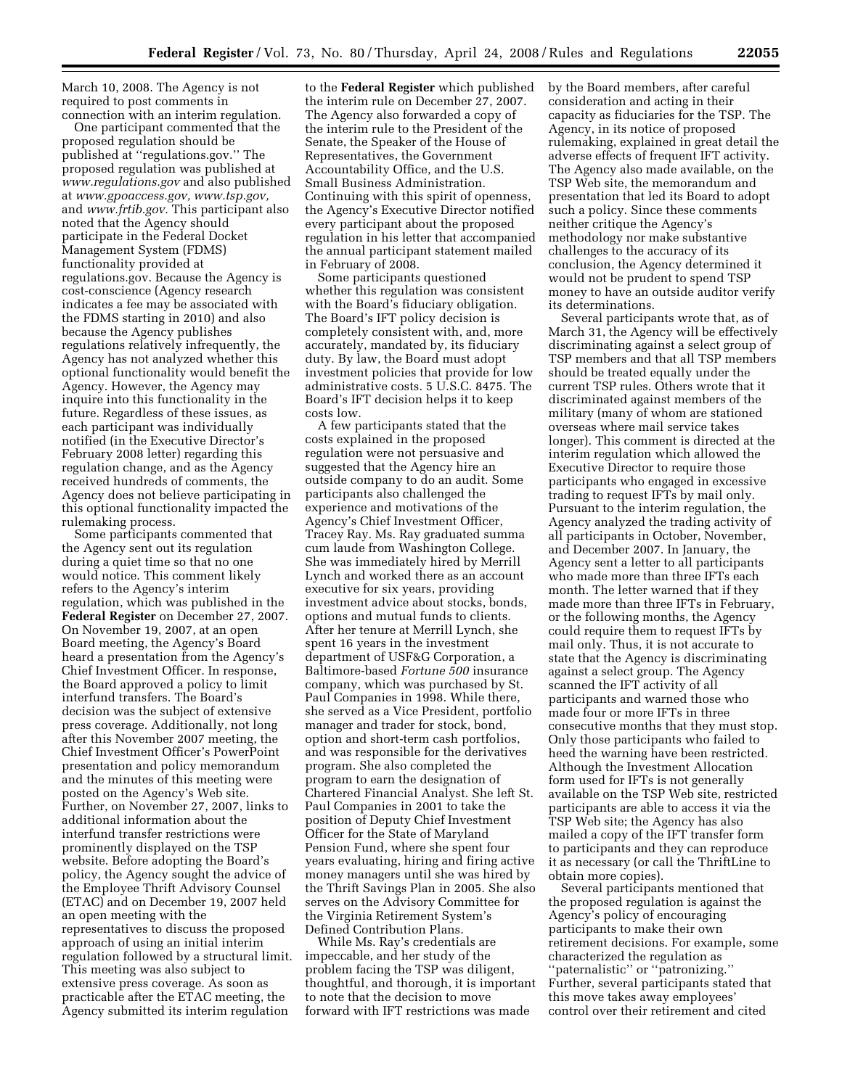March 10, 2008. The Agency is not required to post comments in connection with an interim regulation.

One participant commented that the proposed regulation should be published at ''regulations.gov.'' The proposed regulation was published at *www.regulations.gov* and also published at *www.gpoaccess.gov, www.tsp.gov,*  and *www.frtib.gov.* This participant also noted that the Agency should participate in the Federal Docket Management System (FDMS) functionality provided at regulations.gov. Because the Agency is cost-conscience (Agency research indicates a fee may be associated with the FDMS starting in 2010) and also because the Agency publishes regulations relatively infrequently, the Agency has not analyzed whether this optional functionality would benefit the Agency. However, the Agency may inquire into this functionality in the future. Regardless of these issues, as each participant was individually notified (in the Executive Director's February 2008 letter) regarding this regulation change, and as the Agency received hundreds of comments, the Agency does not believe participating in this optional functionality impacted the rulemaking process.

Some participants commented that the Agency sent out its regulation during a quiet time so that no one would notice. This comment likely refers to the Agency's interim regulation, which was published in the **Federal Register** on December 27, 2007. On November 19, 2007, at an open Board meeting, the Agency's Board heard a presentation from the Agency's Chief Investment Officer. In response, the Board approved a policy to limit interfund transfers. The Board's decision was the subject of extensive press coverage. Additionally, not long after this November 2007 meeting, the Chief Investment Officer's PowerPoint presentation and policy memorandum and the minutes of this meeting were posted on the Agency's Web site. Further, on November 27, 2007, links to additional information about the interfund transfer restrictions were prominently displayed on the TSP website. Before adopting the Board's policy, the Agency sought the advice of the Employee Thrift Advisory Counsel (ETAC) and on December 19, 2007 held an open meeting with the representatives to discuss the proposed approach of using an initial interim regulation followed by a structural limit. This meeting was also subject to extensive press coverage. As soon as practicable after the ETAC meeting, the Agency submitted its interim regulation

to the **Federal Register** which published the interim rule on December 27, 2007. The Agency also forwarded a copy of the interim rule to the President of the Senate, the Speaker of the House of Representatives, the Government Accountability Office, and the U.S. Small Business Administration. Continuing with this spirit of openness, the Agency's Executive Director notified every participant about the proposed regulation in his letter that accompanied the annual participant statement mailed in February of 2008.

Some participants questioned whether this regulation was consistent with the Board's fiduciary obligation. The Board's IFT policy decision is completely consistent with, and, more accurately, mandated by, its fiduciary duty. By law, the Board must adopt investment policies that provide for low administrative costs. 5 U.S.C. 8475. The Board's IFT decision helps it to keep costs low.

A few participants stated that the costs explained in the proposed regulation were not persuasive and suggested that the Agency hire an outside company to do an audit. Some participants also challenged the experience and motivations of the Agency's Chief Investment Officer, Tracey Ray. Ms. Ray graduated summa cum laude from Washington College. She was immediately hired by Merrill Lynch and worked there as an account executive for six years, providing investment advice about stocks, bonds, options and mutual funds to clients. After her tenure at Merrill Lynch, she spent 16 years in the investment department of USF&G Corporation, a Baltimore-based *Fortune 500* insurance company, which was purchased by St. Paul Companies in 1998. While there, she served as a Vice President, portfolio manager and trader for stock, bond, option and short-term cash portfolios, and was responsible for the derivatives program. She also completed the program to earn the designation of Chartered Financial Analyst. She left St. Paul Companies in 2001 to take the position of Deputy Chief Investment Officer for the State of Maryland Pension Fund, where she spent four years evaluating, hiring and firing active money managers until she was hired by the Thrift Savings Plan in 2005. She also serves on the Advisory Committee for the Virginia Retirement System's Defined Contribution Plans.

While Ms. Ray's credentials are impeccable, and her study of the problem facing the TSP was diligent, thoughtful, and thorough, it is important to note that the decision to move forward with IFT restrictions was made

by the Board members, after careful consideration and acting in their capacity as fiduciaries for the TSP. The Agency, in its notice of proposed rulemaking, explained in great detail the adverse effects of frequent IFT activity. The Agency also made available, on the TSP Web site, the memorandum and presentation that led its Board to adopt such a policy. Since these comments neither critique the Agency's methodology nor make substantive challenges to the accuracy of its conclusion, the Agency determined it would not be prudent to spend TSP money to have an outside auditor verify its determinations.

Several participants wrote that, as of March 31, the Agency will be effectively discriminating against a select group of TSP members and that all TSP members should be treated equally under the current TSP rules. Others wrote that it discriminated against members of the military (many of whom are stationed overseas where mail service takes longer). This comment is directed at the interim regulation which allowed the Executive Director to require those participants who engaged in excessive trading to request IFTs by mail only. Pursuant to the interim regulation, the Agency analyzed the trading activity of all participants in October, November, and December 2007. In January, the Agency sent a letter to all participants who made more than three IFTs each month. The letter warned that if they made more than three IFTs in February, or the following months, the Agency could require them to request IFTs by mail only. Thus, it is not accurate to state that the Agency is discriminating against a select group. The Agency scanned the IFT activity of all participants and warned those who made four or more IFTs in three consecutive months that they must stop. Only those participants who failed to heed the warning have been restricted. Although the Investment Allocation form used for IFTs is not generally available on the TSP Web site, restricted participants are able to access it via the TSP Web site; the Agency has also mailed a copy of the IFT transfer form to participants and they can reproduce it as necessary (or call the ThriftLine to obtain more copies).

Several participants mentioned that the proposed regulation is against the Agency's policy of encouraging participants to make their own retirement decisions. For example, some characterized the regulation as ''paternalistic'' or ''patronizing.'' Further, several participants stated that this move takes away employees' control over their retirement and cited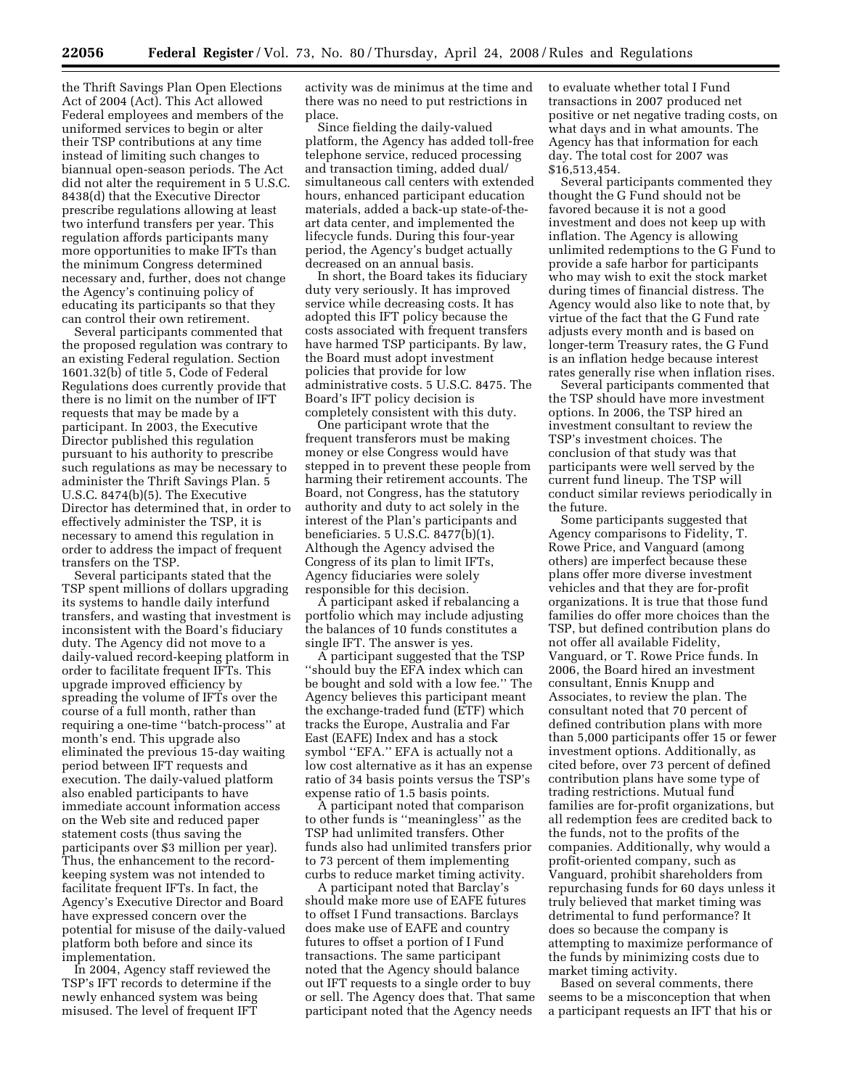the Thrift Savings Plan Open Elections Act of 2004 (Act). This Act allowed Federal employees and members of the uniformed services to begin or alter their TSP contributions at any time instead of limiting such changes to biannual open-season periods. The Act did not alter the requirement in 5 U.S.C. 8438(d) that the Executive Director prescribe regulations allowing at least two interfund transfers per year. This regulation affords participants many more opportunities to make IFTs than the minimum Congress determined necessary and, further, does not change the Agency's continuing policy of educating its participants so that they can control their own retirement.

Several participants commented that the proposed regulation was contrary to an existing Federal regulation. Section 1601.32(b) of title 5, Code of Federal Regulations does currently provide that there is no limit on the number of IFT requests that may be made by a participant. In 2003, the Executive Director published this regulation pursuant to his authority to prescribe such regulations as may be necessary to administer the Thrift Savings Plan. 5 U.S.C. 8474(b)(5). The Executive Director has determined that, in order to effectively administer the TSP, it is necessary to amend this regulation in order to address the impact of frequent transfers on the TSP.

Several participants stated that the TSP spent millions of dollars upgrading its systems to handle daily interfund transfers, and wasting that investment is inconsistent with the Board's fiduciary duty. The Agency did not move to a daily-valued record-keeping platform in order to facilitate frequent IFTs. This upgrade improved efficiency by spreading the volume of IFTs over the course of a full month, rather than requiring a one-time ''batch-process'' at month's end. This upgrade also eliminated the previous 15-day waiting period between IFT requests and execution. The daily-valued platform also enabled participants to have immediate account information access on the Web site and reduced paper statement costs (thus saving the participants over \$3 million per year). Thus, the enhancement to the recordkeeping system was not intended to facilitate frequent IFTs. In fact, the Agency's Executive Director and Board have expressed concern over the potential for misuse of the daily-valued platform both before and since its implementation.

In 2004, Agency staff reviewed the TSP's IFT records to determine if the newly enhanced system was being misused. The level of frequent IFT

activity was de minimus at the time and there was no need to put restrictions in place.

Since fielding the daily-valued platform, the Agency has added toll-free telephone service, reduced processing and transaction timing, added dual/ simultaneous call centers with extended hours, enhanced participant education materials, added a back-up state-of-theart data center, and implemented the lifecycle funds. During this four-year period, the Agency's budget actually decreased on an annual basis.

In short, the Board takes its fiduciary duty very seriously. It has improved service while decreasing costs. It has adopted this IFT policy because the costs associated with frequent transfers have harmed TSP participants. By law, the Board must adopt investment policies that provide for low administrative costs. 5 U.S.C. 8475. The Board's IFT policy decision is completely consistent with this duty.

One participant wrote that the frequent transferors must be making money or else Congress would have stepped in to prevent these people from harming their retirement accounts. The Board, not Congress, has the statutory authority and duty to act solely in the interest of the Plan's participants and beneficiaries. 5 U.S.C. 8477(b)(1). Although the Agency advised the Congress of its plan to limit IFTs, Agency fiduciaries were solely responsible for this decision.

A participant asked if rebalancing a portfolio which may include adjusting the balances of 10 funds constitutes a single IFT. The answer is yes.

A participant suggested that the TSP ''should buy the EFA index which can be bought and sold with a low fee.'' The Agency believes this participant meant the exchange-traded fund (ETF) which tracks the Europe, Australia and Far East (EAFE) Index and has a stock symbol ''EFA.'' EFA is actually not a low cost alternative as it has an expense ratio of 34 basis points versus the TSP's expense ratio of 1.5 basis points.

A participant noted that comparison to other funds is ''meaningless'' as the TSP had unlimited transfers. Other funds also had unlimited transfers prior to 73 percent of them implementing curbs to reduce market timing activity.

A participant noted that Barclay's should make more use of EAFE futures to offset I Fund transactions. Barclays does make use of EAFE and country futures to offset a portion of I Fund transactions. The same participant noted that the Agency should balance out IFT requests to a single order to buy or sell. The Agency does that. That same participant noted that the Agency needs

to evaluate whether total I Fund transactions in 2007 produced net positive or net negative trading costs, on what days and in what amounts. The Agency has that information for each day. The total cost for 2007 was \$16,513,454.

Several participants commented they thought the G Fund should not be favored because it is not a good investment and does not keep up with inflation. The Agency is allowing unlimited redemptions to the G Fund to provide a safe harbor for participants who may wish to exit the stock market during times of financial distress. The Agency would also like to note that, by virtue of the fact that the G Fund rate adjusts every month and is based on longer-term Treasury rates, the G Fund is an inflation hedge because interest rates generally rise when inflation rises.

Several participants commented that the TSP should have more investment options. In 2006, the TSP hired an investment consultant to review the TSP's investment choices. The conclusion of that study was that participants were well served by the current fund lineup. The TSP will conduct similar reviews periodically in the future.

Some participants suggested that Agency comparisons to Fidelity, T. Rowe Price, and Vanguard (among others) are imperfect because these plans offer more diverse investment vehicles and that they are for-profit organizations. It is true that those fund families do offer more choices than the TSP, but defined contribution plans do not offer all available Fidelity, Vanguard, or T. Rowe Price funds. In 2006, the Board hired an investment consultant, Ennis Knupp and Associates, to review the plan. The consultant noted that 70 percent of defined contribution plans with more than 5,000 participants offer 15 or fewer investment options. Additionally, as cited before, over 73 percent of defined contribution plans have some type of trading restrictions. Mutual fund families are for-profit organizations, but all redemption fees are credited back to the funds, not to the profits of the companies. Additionally, why would a profit-oriented company, such as Vanguard, prohibit shareholders from repurchasing funds for 60 days unless it truly believed that market timing was detrimental to fund performance? It does so because the company is attempting to maximize performance of the funds by minimizing costs due to market timing activity.

Based on several comments, there seems to be a misconception that when a participant requests an IFT that his or